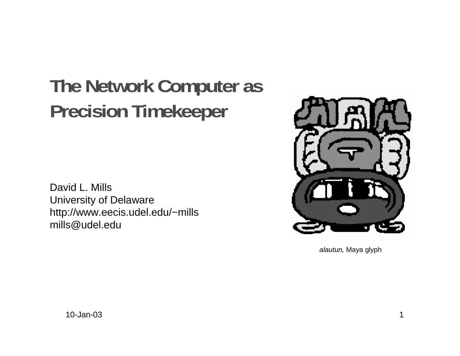# **The Network Computer as Precision Timekeeper**

David L. Mills University of Delaware http://www.eecis.udel.edu/~mills mills@udel.edu



alautun, Maya glyph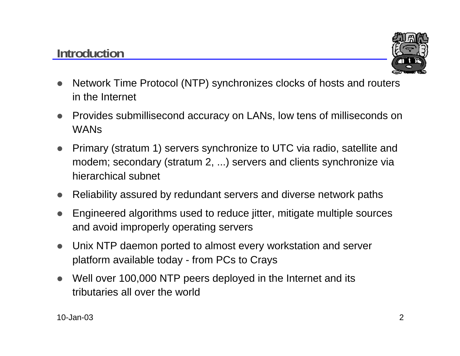# **Introduction**



- $\bullet$  Network Time Protocol (NTP) synchronizes clocks of hosts and routers in the Internet
- Provides submillisecond accuracy on LANs, low tens of milliseconds on WANs
- $\bullet$  Primary (stratum 1) servers synchronize to UTC via radio, satellite and modem; secondary (stratum 2, ...) servers and clients synchronize via hierarchical subnet
- Reliability assured by redundant servers and diverse network paths
- $\bullet$  Engineered algorithms used to reduce jitter, mitigate multiple sources and avoid improperly operating servers
- $\bullet$  Unix NTP daemon ported to almost every workstation and server platform available today - from PCs to Crays
- $\bullet$  Well over 100,000 NTP peers deployed in the Internet and its tributaries all over the world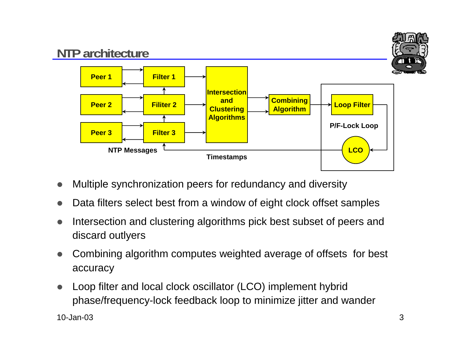

- $\bullet$ Multiple synchronization peers for redundancy and diversity
- $\bullet$ Data filters select best from a window of eight clock offset samples
- $\bullet$  Intersection and clustering algorithms pick best subset of peers and discard outlyers
- $\bullet$  Combining algorithm computes weighted average of offsets for best accuracy
- $\bullet$  Loop filter and local clock oscillator (LCO) implement hybrid phase/frequency-lock feedback loop to minimize jitter and wander

10-Jan-03 $3 \overline{\phantom{a}}$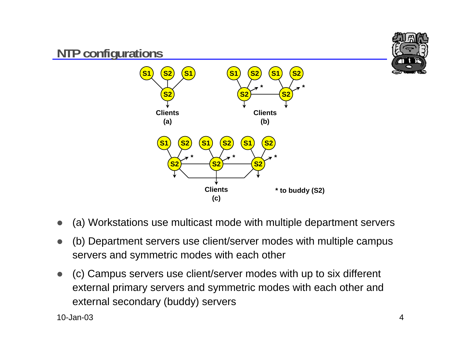

- $\bullet$ (a) Workstations use multicast mode with multiple department servers
- $\bullet$  (b) Department servers use client/server modes with multiple campus servers and symmetric modes with each other
- $\bullet$  (c) Campus servers use client/server modes with up to six different external primary servers and symmetric modes with each other and external secondary (buddy) servers

10-Jan-03 $\frac{3}{4}$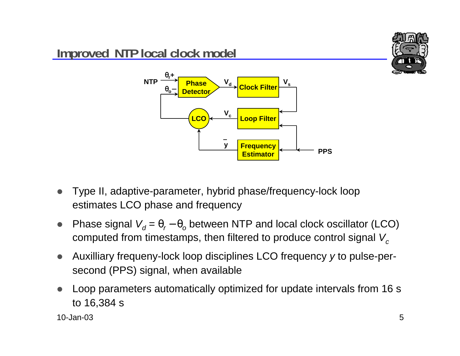

- $\bullet$  Type II, adaptive-parameter, hybrid phase/frequency-lock loop estimates LCO phase and frequency
- $\bullet$  $\bullet$  Phase signal  $V_q = \theta_r - \theta_o$  between NTP and local clock oscillator (LCO) computed from timestamps, then filtered to produce control signal  $V_c$
- $\bullet$  Auxilliary frequeny-lock loop disciplines LCO frequency y to pulse-persecond (PPS) signal, when available
- $\bullet$  Loop parameters automatically optimized for update intervals from 16 s to 16,384 s

10-Jan-03 $3$  5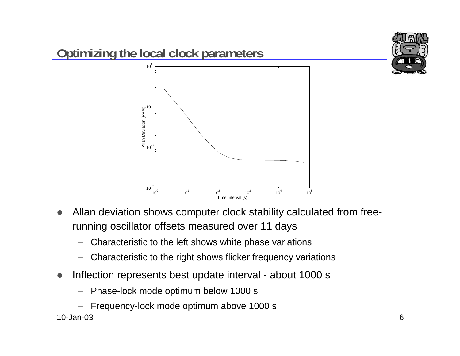

- $\bullet$  Allan deviation shows computer clock stability calculated from freerunning oscillator offsets measured over 11 days
	- Characteristic to the left shows white phase variations
	- Characteristic to the right shows flicker frequency variations
- $\bullet$  Inflection represents best update interval - about 1000 s
	- Phase-lock mode optimum below 1000 s
	- Frequency-lock mode optimum above 1000 s

#### 10-Jan-03 $\mathbf 3$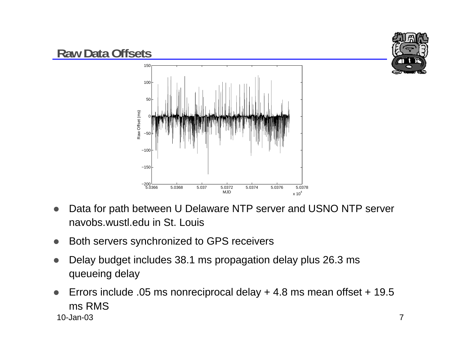

- $\bullet$  Data for path between U Delaware NTP server and USNO NTP server navobs.wustl.edu in St. Louis
- $\bullet$ Both servers synchronized to GPS receivers
- $\bullet$  Delay budget includes 38.1 ms propagation delay plus 26.3 ms queueing delay
- 10-Jan-03 $3 \overline{7}$  $\bullet$  Errors include .05 ms nonreciprocal delay + 4.8 ms mean offset + 19.5 ms RMS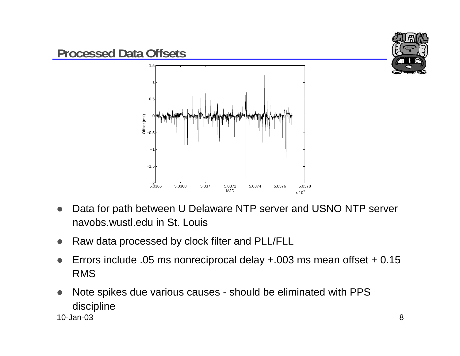

- $\bullet$  Data for path between U Delaware NTP server and USNO NTP server navobs.wustl.edu in St. Louis
- $\bullet$ Raw data processed by clock filter and PLL/FLL
- $\bullet$  Errors include .05 ms nonreciprocal delay +.003 ms mean offset + 0.15 RMS
- 10-Jan-03 $3$  $\bullet$  Note spikes due various causes - should be eliminated with PPS discipline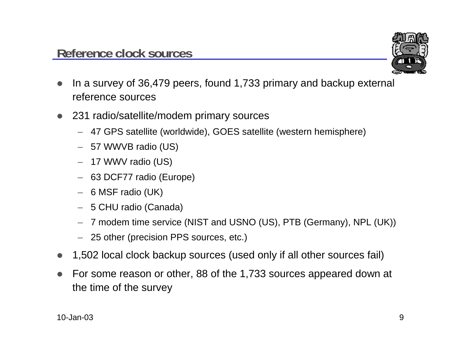

- $\bullet$  In a survey of 36,479 peers, found 1,733 primary and backup external reference sources
- 231 radio/satellite/modem primary sources
	- 47 GPS satellite (worldwide), GOES satellite (western hemisphere)
	- 57 WWVB radio (US)
	- 17 WWV radio (US)
	- 63 DCF77 radio (Europe)
	- 6 MSF radio (UK)
	- 5 CHU radio (Canada)
	- 7 modem time service (NIST and USNO (US), PTB (Germany), NPL (UK))
	- 25 other (precision PPS sources, etc.)
- $\bullet$ 1,502 local clock backup sources (used only if all other sources fail)
- $\bullet$  For some reason or other, 88 of the 1,733 sources appeared down at the time of the survey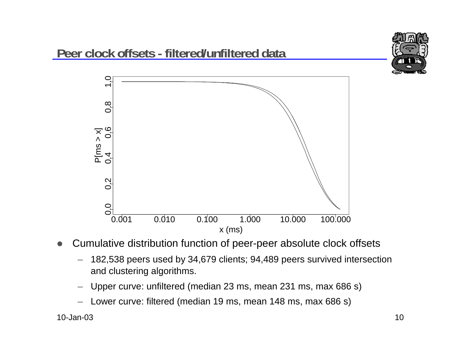

- $\bullet$  Cumulative distribution function of peer-peer absolute clock offsets
	- 182,538 peers used by 34,679 clients; 94,489 peers survived intersection and clustering algorithms.
	- –Upper curve: unfiltered (median 23 ms, mean 231 ms, max 686 s)
	- Lower curve: filtered (median 19 ms, mean 148 ms, max 686 s)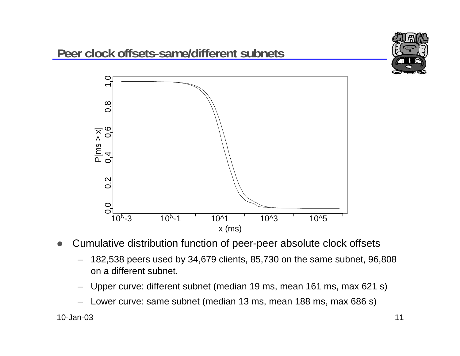

- $\bullet$  Cumulative distribution function of peer-peer absolute clock offsets
	- 182,538 peers used by 34,679 clients, 85,730 on the same subnet, 96,808 on a different subnet.
	- –Upper curve: different subnet (median 19 ms, mean 161 ms, max 621 s)
	- Lower curve: same subnet (median 13 ms, mean 188 ms, max 686 s)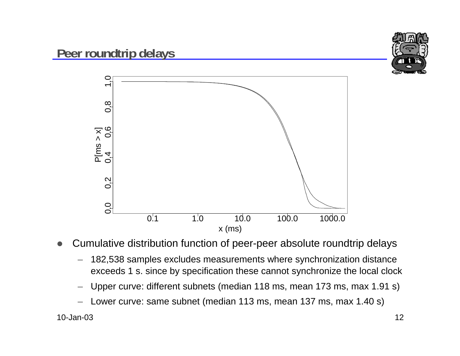

- $\bullet$  Cumulative distribution function of peer-peer absolute roundtrip delays
	- 182,538 samples excludes measurements where synchronization distance exceeds 1 s. since by specification these cannot synchronize the local clock
	- –Upper curve: different subnets (median 118 ms, mean 173 ms, max 1.91 s)
	- Lower curve: same subnet (median 113 ms, mean 137 ms, max 1.40 s)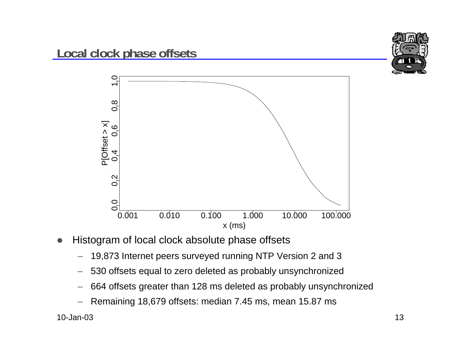



- $\bullet$  Histogram of local clock absolute phase offsets
	- 19,873 Internet peers surveyed running NTP Version 2 and 3
	- 530 offsets equal to zero deleted as probably unsynchronized
	- 664 offsets greater than 128 ms deleted as probably unsynchronized
	- Remaining 18,679 offsets: median 7.45 ms, mean 15.87 ms

10-Jan-03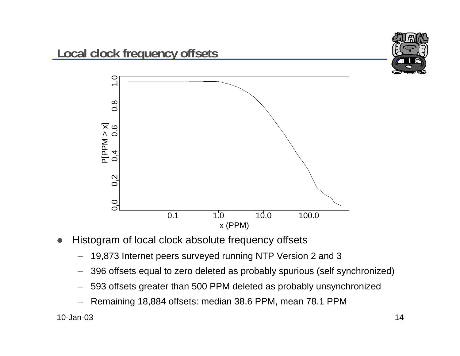



- 19,873 Internet peers surveyed running NTP Version 2 and 3
- –396 offsets equal to zero deleted as probably spurious (self synchronized)

x (PPM)

 $0.\overline{1}$  1.0 10.0 100.0

- –593 offsets greater than 500 PPM deleted as probably unsynchronized
- Remaining 18,884 offsets: median 38.6 PPM, mean 78.1 PPM

10-Jan-03

 $0,0$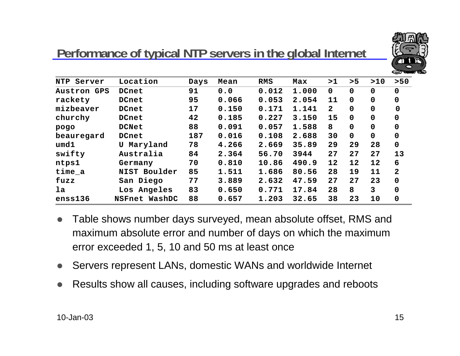

## **Performance of typical NTP servers in the global Internet**

| NTP<br>Server      | Location      | Days | Mean  | RMS   | Max   | >1           | > 5         | >10         | $>50$          |
|--------------------|---------------|------|-------|-------|-------|--------------|-------------|-------------|----------------|
| <b>Austron GPS</b> | DCnet         | 91   | 0.0   | 0.012 | 1.000 | $\mathbf 0$  | $\mathbf 0$ | $\mathbf 0$ | $\mathbf 0$    |
| rackety            | DCnet         | 95   | 0.066 | 0.053 | 2.054 | 11           | $\mathbf 0$ | $\mathbf 0$ | $\mathbf 0$    |
| mizbeaver          | DCnet         | 17   | 0.150 | 0.171 | 1.141 | $\mathbf{2}$ | $\mathbf 0$ | $\mathbf 0$ | $\mathbf 0$    |
| churchy            | DCnet         | 42   | 0.185 | 0.227 | 3.150 | 15           | $\mathbf 0$ | $\mathbf 0$ | 0              |
| pogo               | <b>DCNet</b>  | 88   | 0.091 | 0.057 | 1.588 | 8            | 0           | $\mathbf 0$ | $\Omega$       |
| beauregard         | DCnet         | 187  | 0.016 | 0.108 | 2.688 | 30           | $\mathbf 0$ | $\mathbf 0$ | $\mathbf 0$    |
| umd1               | Maryland<br>U | 78   | 4.266 | 2.669 | 35.89 | 29           | 29          | 28          | $\mathbf 0$    |
| swifty             | Australia     | 84   | 2.364 | 56.70 | 3944  | 27           | 27          | 27          | 13             |
| ntps1              | Germany       | 70   | 0.810 | 10.86 | 490.9 | 12           | 12          | 12          | 6              |
| $time_a$           | NIST Boulder  | 85   | 1.511 | 1.686 | 80.56 | 28           | 19          | 11          | $\overline{2}$ |
| fuzz               | San Diego     | 77   | 3.889 | 2.632 | 47.59 | 27           | 27          | 23          | $\mathbf 0$    |
| la                 | Los Angeles   | 83   | 0.650 | 0.771 | 17.84 | 28           | 8           | 3           | $\Omega$       |
| enss136            | NSFnet WashDC | 88   | 0.657 | 1.203 | 32.65 | 38           | 23          | 10          | 0              |

- $\bullet$  Table shows number days surveyed, mean absolute offset, RMS and maximum absolute error and number of days on which the maximum error exceeded 1, 5, 10 and 50 ms at least once
- $\bullet$ Servers represent LANs, domestic WANs and worldwide Internet
- $\bullet$ Results show all causes, including software upgrades and reboots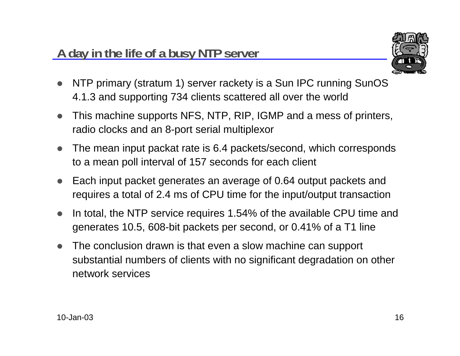

- $\bullet$  NTP primary (stratum 1) server rackety is a Sun IPC running SunOS 4.1.3 and supporting 734 clients scattered all over the world
- $\bullet$  This machine supports NFS, NTP, RIP, IGMP and a mess of printers, radio clocks and an 8-port serial multiplexor
- $\bullet$  The mean input packat rate is 6.4 packets/second, which corresponds to a mean poll interval of 157 seconds for each client
- $\bullet$  Each input packet generates an average of 0.64 output packets and requires a total of 2.4 ms of CPU time for the input/output transaction
- $\bullet$  In total, the NTP service requires 1.54% of the available CPU time and generates 10.5, 608-bit packets per second, or 0.41% of a T1 line
- $\bullet$  The conclusion drawn is that even a slow machine can support substantial numbers of clients with no significant degradation on other network services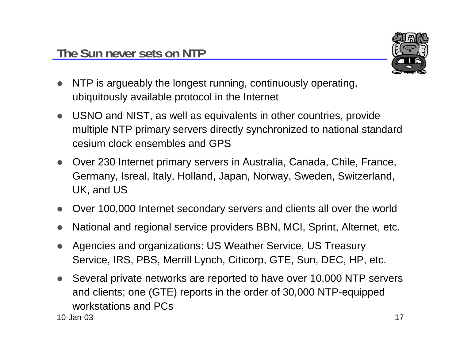

- $\bullet$  NTP is argueably the longest running, continuously operating, ubiquitously available protocol in the Internet
- $\bullet$  USNO and NIST, as well as equivalents in other countries, provide multiple NTP primary servers directly synchronized to national standard cesium clock ensembles and GPS
- $\bullet$  Over 230 Internet primary servers in Australia, Canada, Chile, France, Germany, Isreal, Italy, Holland, Japan, Norway, Sweden, Switzerland, UK, and US
- $\bullet$ Over 100,000 Internet secondary servers and clients all over the world
- $\bullet$ National and regional service providers BBN, MCI, Sprint, Alternet, etc.
- $\bullet$  Agencies and organizations: US Weather Service, US Treasury Service, IRS, PBS, Merrill Lynch, Citicorp, GTE, Sun, DEC, HP, etc.
- 10-Jan-03 $3$  and  $17$  $\bullet$  Several private networks are reported to have over 10,000 NTP servers and clients; one (GTE) reports in the order of 30,000 NTP-equipped workstations and PCs